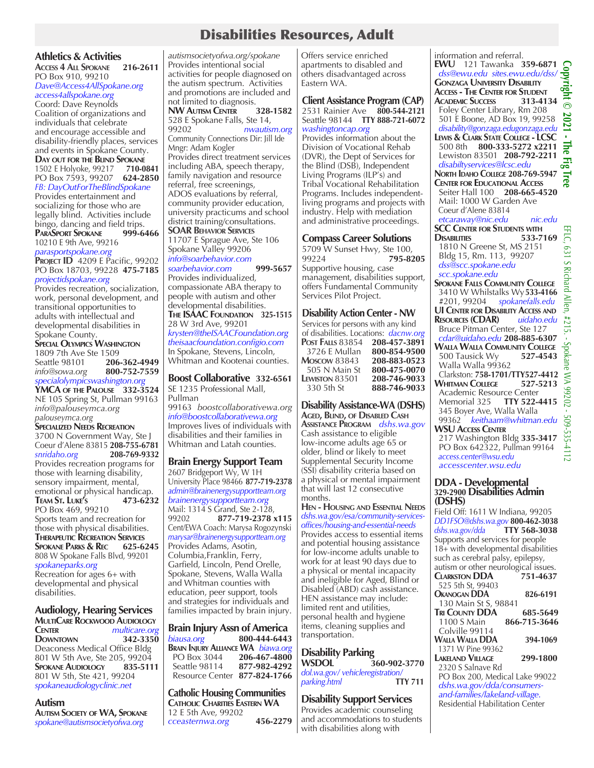## Disabilities Resources, Adult

## **Athletics & Activities**

**Access 4 All Spokane 216-2611** PO Box 910, 99210 *Dave@Access4AllSpokane.org access4allspokane.org*

Coord: Dave Reynolds Coalition of organizations and individuals that celebrate and encourage accessible and disability-friendly places, services and events in Spokane County. **Day OUT FOR THE BLIND SPOKANE**<br>1502 E Holvoke, 99217 710-0841 1502 E Holyoke, 99217 **710-0841** PO Box 7593, 99207 **624-2850** *FB: DayOutForTheBlindSpokane* Provides entertainment and socializing for those who are legally blind. Activities include bingo, dancing and field trips.<br>**PARASPORT SPOKANE** 999-6466 **PARASPORT SPOKANE** 10210 E 9th Ave, 99216

*parasportspokane.org* **PROJECT ID** 4209 E Pacific, 99202

PO Box 18703, 99228 **475-7185** *projectidspokane.org*

Provides recreation, socialization, work, personal development, and transitional opportunities to adults with intellectual and developmental disabilities in Spokane County. **Special Olympics Washington** 1809 7th Ave Ste 1509<br>Seattle 98101 206

Seattle 98101 **206-362-4949** *info@sowa.org* **800-752-7559** *specialolympicswashington.org*

**YMCA of the Palouse 332-3524** NE 105 Spring St, Pullman 99163 *info@palouseymca.org palouseymca.org*

**Specialized Needs Recreation** 3700 N Government Way, Ste J Coeur d'Alene 83815 **208-755-6781** *snridaho.org* **208-769-9332** Provides recreation programs for those with learning disability, sensory impairment, mental, emotional or physical handicap.<br>TEAM ST. LUKE'S 473-6232 **Team St. Luke's 473-6232** PO Box 469, 99210 Sports team and recreation for those with physical disabilities. **Therapeutic Recreation Services Spokane Parks & Rec** 808 W Spokane Falls Blvd, 99201

*spokaneparks.org*  Recreation for ages 6+ with developmental and physical disabilities.

**Audiology, Hearing Services MULTICARE ROCKWOOD AUDIOLOGY**<br> **CENTER** *MULTICATE OF* **Center** *multicare.org*  **Downtown 342-3350**  Deaconess Medical Office Bldg 801 W 5th Ave, Ste 205, 99204<br>**SPOKANE AUDIOLOGY** 835-5111

**SPOKANE AUDIOLOGY** 801 W 5th, Ste 421, 99204 *spokaneaudiologyclinic.net*

## **Autism**

**Autism Society of WA, Spokane** *spokane@autismsocietyofwa.org*

*autismsocietyofwa.org/spokane*  Provides intentional social activities for people diagnosed on the autism spectrum. Activities and promotions are included and not limited to diagnosis.<br>NW AUTISM CENTER 328-1582 **NW Autism Center 328-1582**  528 E Spokane Falls, Ste 14, 99202 *nwautism.org* Community Connections Dir: Jill Ide Mngr: Adam Kogler Provides direct treatment services including ABA, speech therapy, family navigation and resource referral, free screenings, ADOS evaluations by referral, community provider education, university practicums and school district training/consultations. **SOAR Behavior Services** 11707 E Sprague Ave, Ste 106 Spokane Valley 99206 *info@soarbehavior.com soarbehavior.com* **999-5657**  Provides individualized, compassionate ABA therapy to people with autism and other developmental disabilities. **The ISAAC Foundation 325-1515** 28 W 3rd Ave, 99201 *krysten@theISAACFoundation.org theisaacfoundation.configio.com*  In Spokane, Stevens, Lincoln, Whitman and Kootenai counties.

**Boost Collaborative 332-6561** SE 1235 Professional Mall, Pullman 99163 *boostcollaborativewa.org info@boostcollaborativewa.org* Improves lives of individuals with disabilities and their families in Whitman and Latah counties.

**Brain Energy Support Team** 2607 Bridgeport Wy, W 1H University Place 98466 **877-719-2378** *admin@brainenergysupportteam.org brainenergysupportteam.org* Mail: 1314 S Grand, Ste 2-128, 99202 **877-719-2378 x115** Cent/EWA Coach: Marysa Rogozynski *marysar@brainenergysupportteam.org* Provides Adams, Asotin, Columbia,Franklin, Ferry, Garfield, Lincoln, Pend Orelle, Spokane, Stevens, Walla Walla and Whitman counties with education, peer support, tools and strategies for individuals and families impacted by brain injury.

**Brain Injury Assn of America** *biausa.org* **800-444-6443 Brain Injury Alliance WA** *biawa.org* PO Box 3044 **206-467-4800** Seattle 98114 **877-982-4292** Resource Center **877-824-1766**

**Catholic Housing Communities Catholic Charities Eastern WA** 12 E 5th Ave, 99202 *cceasternwa.org* **456-2279**

Offers service enriched apartments to disabled and others disadvantaged across Eastern WA.

## **Client Assistance Program (CAP)** 2531 Rainier Ave **800-544-2121** Seattle 98144 **TTY 888-721-6072** *washingtoncap.org*

Provides information about the Division of Vocational Rehab (DVR), the Dept of Services for the Blind (DSB), Independent Living Programs (ILP's) and Tribal Vocational Rehabilitation Programs. Includes independentliving programs and projects with industry. Help with mediation and administrative proceedings.

## **Compass Career Solutions**

5709 W Sunset Hwy, Ste 100, 99224 **795-8205** Supportive housing, case management, disabilities support, offers Fundamental Community Services Pilot Project.

## **Disability Action Center - NW**

| Services for persons with any kind    |              |
|---------------------------------------|--------------|
| of disabilities. Locations: dacnw.org |              |
| <b>POST FALLS 83854</b>               | 208-457-3891 |
| 3726 E Mullan                         | 800-854-9500 |
| <b>Moscow 83843</b>                   | 208-883-0523 |
| 505 N Main St                         | 800-475-0070 |
| <b>LEWISTON 83501</b>                 | 208-746-9033 |
| 330 5th St                            | 888-746-9033 |
|                                       |              |

## **Disability Assistance-WA (DSHS) Aged, Blind, of Disabled Cash**

**Assistance Program** *dshs.wa.gov* Cash assistance to eligible low-income adults age 65 or older, blind or likely to meet Supplemental Security Income (SSI) disability criteria based on a physical or mental impairment that will last 12 consecutive months.

**Hen - Housing and Essential Needs** *dshs.wa.gov/esa/community-servicesoffices/housing-and-essential-needs* Provides access to essential items and potential housing assistance for low-income adults unable to work for at least 90 days due to a physical or mental incapacity and ineligible for Aged, Blind or Disabled (ABD) cash assistance. HEN assistance may include: limited rent and utilities, personal health and hygiene items, cleaning supplies and transportation.

# **Disability Parking**

**WSDOL 360-902-3770** *dol.wa.gov/ vehicleregistration/*  $parking.html$ 

## **Disability Support Services**

Provides academic counseling and accommodations to students with disabilities along with

information and referral. **EWU** 121 Tawanka **359-6871 Copyright © 2021 - The Fig Tree**  *dss@ewu.edu sites.ewu.edu/dss/* **Gonzaga University Disability** rright **Access - The Center for Student ACADEMIC SUCCESS**  $\odot$  Foley Center Library, Rm 208 501 E Boone, AD Box 19, 99258 *disability@gonzaga.edugonzaga.edu* **Lewis & Clark State College - LCSC** 500 8th **800-333-5272 x2211**  Lewiston 83501 **208-792-2211**  $\overline{\mathbb{R}}$  *disabiltyservices@lcsc.edu* õ Tree **North Idaho College 208-769-5947 Center for Educational Access** Seiter Hall 100 **208-665-4520** Mail: 1000 W Garden Ave Coeur d'Alene 83814  *etcaraway@nic.edu nic.edu* **SCC Center for Students with DISABILITIES**  1810 N Greene St, MS 2151 Bldg 15, Rm. 113, 99207  *dss@scc.spokane.edu scc.spokane.edu* **Spokane Falls Community College** 3410 W Whilstalks Wy **533-4166** #201, 99204 *spokanefalls.edu* **UI Center for Disability Access and RESOURCES (CDAR)** 

EFLC, 631 S Richard Allen, #215. - Spokane WA 99202 - 509-535-4112S Richard l Allen,  $7\frac{4}{7}$  Bruce Pitman Center, Ste 127 淸  *cdar@uidaho.edu* **208-885-6307**  Spokane **Walla Walla Community College** Clarkston: **758-1701/TTY527-4412** WA 20202 Academic Resource Center Memorial 325 **TTY 522-4415** 345 Boyer Ave, Walla Walla  $-509 - 535 - 4112$ 99362 *keithaam@whitman.edu*

Πhe

189

**WSU Access Center** 217 Washington Bldg **335-3417** PO Box 642322, Pullman 99164 *access.center@wsu.edu accesscenter.wsu.edu*

## **DDA - Developmental 329-2900 Disabilities Admin (DSHS)**

500 Tausick Wv Walla Walla 99362

**Whitman College 527-5213**

| Field Off: 1611 W Indiana, 99205     |              |
|--------------------------------------|--------------|
| DD1FSO@dshs.wa.gov 800-462-3038      |              |
| $dshs.wa.gov/dda$ TTY 568-3038       |              |
| Supports and services for people     |              |
| 18+ with developmental disabilities  |              |
| such as cerebral palsy, epilepsy,    |              |
| autism or other neurological issues. |              |
| <b>CLARKSTON DDA</b>                 | 751-4637     |
| 525 5th St, 99403                    |              |
| <b>OKANOGAN DDA</b>                  | 826-6191     |
| 130 Main St S, 98841                 |              |
|                                      |              |
| <b>TRI COUNTY DDA</b>                | 685-5649     |
| 1100 S Main                          | 866-715-3646 |
| Colville 99114                       |              |
| WALLA WALLA DDA                      | 394-1069     |
| 1371 W Pine 99362                    |              |
| <b>LAKELAND VILLAGE</b>              | 299-1800     |
| 2320 S Salnave Rd                    |              |
| PO Box 200, Medical Lake 99022       |              |
| dshs.wa.gov/dda/consumers-           |              |
| and-families/lakeland-village.       |              |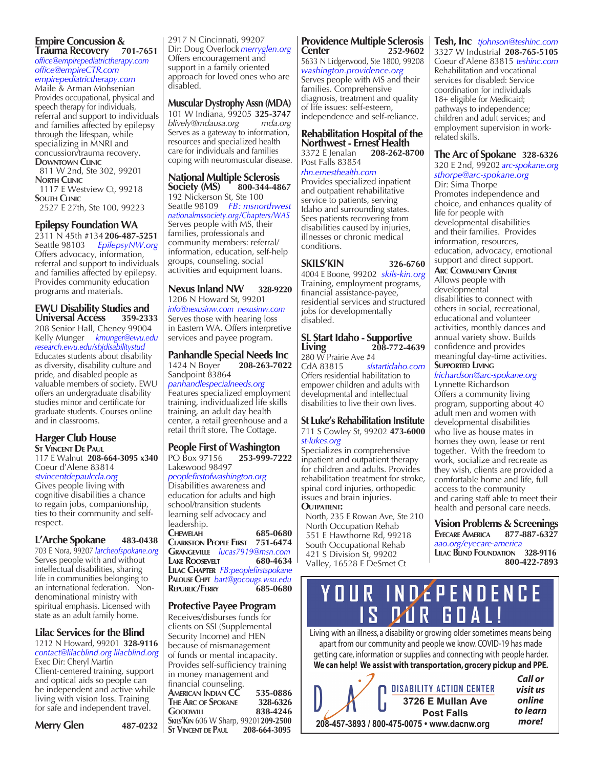## **Empire Concussion & Trauma Recovery 701-7651**

*office@empirepediatrictherapy.com office@empireCTR.com empirepediatrictherapy.com*

Maile & Arman Mohsenian Provides occupational, physical and speech therapy for individuals, referral and support to individuals and families affected by epilepsy through the lifespan, while specializing in MNRI and concussion/trauma recovery. **Downtown Clinic**

 811 W 2nd, Ste 302, 99201 **North Clinic**

 1117 E Westview Ct, 99218 **South Clinic** 2527 E 27th, Ste 100, 99223

## **Epilepsy Foundation WA**

2311 N 45th #134 **206-487-5251** Seattle 98103 *EpilepsyNW.org* Offers advocacy, information, referral and support to individuals and families affected by epilepsy. Provides community education programs and materials.

## **EWU Disability Studies and Universal Access 359-2333**

208 Senior Hall, Cheney 99004 Kelly Munger *kmunger@ewu.edu research.ewu.edu/sbjdisabilitystud* Educates students about disability as diversity, disability culture and pride, and disabled people as valuable members of society. EWU offers an undergraduate disability studies minor and certificate for graduate students. Courses online and in classrooms.

## **Harger Club House St Vincent De Paul**

117 E Walnut **208-664-3095 x340** Coeur d'Alene 83814

*stvincentdepaulcda.org* Gives people living with cognitive disabilities a chance to regain jobs, companionship, ties to their community and selfrespect.

## **L'Arche Spokane 483-0438**

703 E Nora, 99207 *larcheofspokane.org*  Serves people with and without intellectual disabilities, sharing life in communities belonging to an international federation. Nondenominational ministry with spiritual emphasis. Licensed with state as an adult family home.

## **Lilac Services for the Blind**

1212 N Howard, 99201 **328-9116** *contact@lilacblind.org lilacblind.org* Exec Dir: Cheryl Martin Client-centered training, support and optical aids so people can be independent and active while living with vision loss. Training for safe and independent travel.

2917 N Cincinnati, 99207 Dir: Doug Overlock *merryglen.org* Offers encouragement and support in a family oriented approach for loved ones who are disabled.

## **Muscular DystrophyAssn (MDA)**

101 W Indiana, 99205 **325-3747** *blively@mdausa.org mda.org* Serves as a gateway to information, resources and specialized health care for individuals and families coping with neuromuscular disease.

## **National Multiple Sclerosis Society (MS)**

192 Nickerson St, Ste 100 Seattle 98109 *FB: msnorthwest nationalmssociety.org/Chapters/WAS* Serves people with MS, their families, professionals and community members: referral/ information, education, self-help groups, counseling, social activities and equipment loans.

## **Nexus Inland NW 328-9220**

1206 N Howard St, 99201 *info@nexusinw.com nexusinw.com* Serves those with hearing loss in Eastern WA. Offers interpretive services and payee program.

## **Panhandle Special Needs Inc**<br>1424 N Boyer 208-263-7022 1424 N Boyer **208-263-7022**  Sandpoint 83864

*panhandlespecialneeds.org*

Features specialized employment training, individualized life skills training, an adult day health center, a retail greenhouse and a retail thrift store, The Cottage.

## **People First of Washington** PO Box 97156 Lakewood 98497

*peoplefirstofwashington.org* Disabilities awareness and education for adults and high school/transition students learning self advocacy and leadership. **Chewelah 685-0680 Clarkston People First 751-6474 Grangeville** *lucas7919@msn.com* **Lake Roosevelt 680-4634 Lilac Chapter** *FB:peoplefirstspokane* **Palouse Chpt** *bart@gocougs.wsu.edu*

## **Republic/Ferry 685-0680**

## **Protective Payee Program**

Receives/disburses funds for clients on SSI (Supplemental Security Income) and HEN because of mismanagement of funds or mental incapacity. Provides self-sufficiency training in money management and financial counseling. **American Indian CC 535-0886 The Arc of Spokane 328-6326 Goodwill 838-4246 Skils'Kin** 606 W Sharp, 99201**209-2500 ST VINCENT** DE **P**AUL

## **Providence Multiple Sclerosis Center 252-9602**

5633 N Lidgerwood, Ste 1800, 99208 *washington.providence.org* Serves people with MS and their families. Comprehensive diagnosis, treatment and quality of life issues: self-esteem, independence and self-reliance.

#### **Rehabilitation Hospital of the Northwest - Ernest Health**<br>3372 E Jenalan 208-262-8700 3372 E Jenalan **208-262-8700**

Post Falls 83854

*rhn.ernesthealth.com* Provides specialized inpatient and outpatient rehabilitative service to patients, serving Idaho and surrounding states. Sees patients recovering from disabilities caused by injuries, illnesses or chronic medical conditions.

#### **SKILS'KIN 326-6760** 4004 E Boone, 99202 *skils-kin.org*

Training, employment programs, financial assistance-payee, residential services and structured jobs for developmentally disabled.

## **SL Start Idaho - Supportive Living 208-772-4639**

280 W Prairie Ave  $#4$ <br>CdA 83815 slstartidaho.com Offers residential habilitation to empower children and adults with developmental and intellectual disabilities to live their own lives.

#### **St Luke's Rehabilitation Institute** 711 S Cowley St, 99202 **473-6000** *st-lukes.org*

Specializes in comprehensive inpatient and outpatient therapy for children and adults. Provides rehabilitation treatment for stroke, spinal cord injuries, orthopedic issues and brain injuries.

## **Outpatient:**

North, 235 E Rowan Ave, Ste 210 North Occupation Rehab 551 E Hawthorne Rd, 99218 South Occupational Rehab 421 S Division St, 99202 Valley, 16528 E DeSmet Ct

**Tesh, Inc** *tjohnson@teshinc.com* 3327 W Industrial **208-765-5105** Coeur d'Alene 83815 *teshinc.com* Rehabilitation and vocational services for disabled: Service coordination for individuals 18+ eligible for Medicaid; pathways to independence; children and adult services; and employment supervision in workrelated skills.

## **The Arc of Spokane 328-6326**

320 E 2nd, 99202 *arc-spokane.org sthorpe@arc-spokane.org*

Dir: Sima Thorpe Promotes independence and choice, and enhances quality of life for people with developmental disabilities and their families. Provides information, resources, education, advocacy, emotional support and direct support.

## **Arc Community Center**

Allows people with developmental disabilities to connect with others in social, recreational, educational and volunteer activities, monthly dances and annual variety show. Builds confidence and provides meaningful day-time activities. **Supported Living**

### *lrichardson@arc-spokane.org*  Lynnette Richardson

Offers a community living program, supporting about 40 adult men and women with developmental disabilities who live as house mates in homes they own, lease or rent together. With the freedom to work, socialize and recreate as they wish, clients are provided a comfortable home and life, full access to the community and caring staff able to meet their health and personal care needs.

## **Vision Problems & Screenings Eyecare America 877-887-6327** *aao.org/eyecare-america* **Lilac Blind Foundation 328-9116**

**800-422-7893**

# YOUR INDÉPENDENCE<br>IS DUR GOAL!

Living with an illness, a disability or growing older sometimes means being apart from our community and people we know. COVID-19 has made getting care, information or supplies and connecting with people harder. **We can help! We assist with transportation, grocery pickup and PPE.**

|                                             | <b>DISABILITY ACTION CENTER</b>        | Call or<br>visit us |
|---------------------------------------------|----------------------------------------|---------------------|
|                                             | 3726 E Mullan Ave<br><b>Post Falls</b> | online<br>to learn  |
| 208-457-3893 / 800-475-0075 · www.dacnw.org | more!                                  |                     |

**Merry Glen 487-0232**